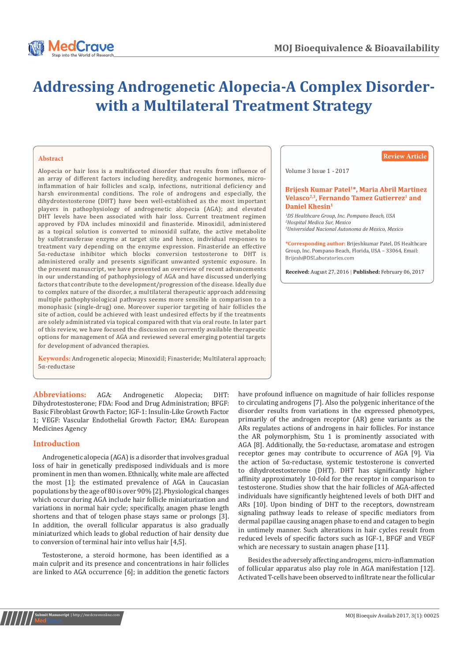# **Addressing Androgenetic Alopecia-A Complex Disorderwith a Multilateral Treatment Strategy**

# **Abstract**

Alopecia or hair loss is a multifaceted disorder that results from influence of an array of different factors including heredity, androgenic hormones, microinflammation of hair follicles and scalp, infections, nutritional deficiency and harsh environmental conditions. The role of androgens and especially, the dihydrotestosterone (DHT) have been well-established as the most important players in pathophysiology of androgenetic alopecia (AGA); and elevated DHT levels have been associated with hair loss. Current treatment regimen approved by FDA includes minoxidil and finasteride. Minoxidil, administered as a topical solution is converted to minoxidil sulfate, the active metabolite by sulfotransferase enzyme at target site and hence, individual responses to treatment vary depending on the enzyme expression. Finasteride an effective 5α-reductase inhibitor which blocks conversion testosterone to DHT is administered orally and presents significant unwanted systemic exposure. In the present manuscript, we have presented an overview of recent advancements in our understanding of pathophysiology of AGA and have discussed underlying factors that contribute to the development/progression of the disease. Ideally due to complex nature of the disorder, a multilateral therapeutic approach addressing multiple pathophysiological pathways seems more sensible in comparison to a monophasic (single-drug) one. Moreover superior targeting of hair follicles the site of action, could be achieved with least undesired effects by if the treatments are solely administrated via topical compared with that via oral route. In later part of this review, we have focused the discussion on currently available therapeutic options for management of AGA and reviewed several emerging potential targets for development of advanced therapies.

**Keywords:** Androgenetic alopecia; Minoxidil; Finasteride; Multilateral approach; 5α-reductase

**Abbreviations:** AGA: Androgenetic Alopecia; DHT: Dihydrotestosterone; FDA: Food and Drug Administration; BFGF: Basic Fibroblast Growth Factor; IGF-1: Insulin-Like Growth Factor 1; VEGF: Vascular Endothelial Growth Factor; EMA: European Medicines Agency

# **Introduction**

Androgenetic alopecia (AGA) is a disorder that involves gradual loss of hair in genetically predisposed individuals and is more prominent in men than women. Ethnically, white male are affected the most [1]; the estimated prevalence of AGA in Caucasian populations by the age of 80 is over 90% [2]. Physiological changes which occur during AGA include hair follicle miniaturization and variations in normal hair cycle; specifically, anagen phase length shortens and that of telogen phase stays same or prolongs [3]. In addition, the overall follicular apparatus is also gradually miniaturized which leads to global reduction of hair density due to conversion of terminal hair into vellus hair [4,5].

Testosterone, a steroid hormone, has been identified as a main culprit and its presence and concentrations in hair follicles are linked to AGA occurrence [6]; in addition the genetic factors

# **Review Article**

Volume 3 Issue 1 - 2017

#### Brijesh Kumar Patel<sup>1\*</sup>, Maria Abril Martinez Velasco<sup>2,3</sup>, Fernando Tamez Gutierrez<sup>1</sup> and Daniel Khesin<sup>1</sup>

*1 DS Healthcare Group, Inc. Pompano Beach, USA 2 Hospital Medica Sur, Mexico 3 Universidad Nacional Autonoma de Mexico, Mexico*

**\*Corresponding author:** Brijeshkumar Patel, DS Healthcare Group, Inc. Pompano Beach, Florida, USA - 33064, Email:<br>Briiesh@DSLaboratories.com

**Received:** August 27, 2016 **| Published:** February 06, 2017

have profound influence on magnitude of hair follicles response to circulating androgens [7]. Also the polygenic inheritance of the disorder results from variations in the expressed phenotypes, primarily of the androgen receptor (AR) gene variants as the ARs regulates actions of androgens in hair follicles. For instance the AR polymorphism, Stu 1 is prominently associated with AGA [8]. Additionally, the  $5\alpha$ -reductase, aromatase and estrogen receptor genes may contribute to occurrence of AGA [9]. Via the action of 5α-reductase, systemic testosterone is converted to dihydrotestosterone (DHT). DHT has significantly higher affinity approximately 10-fold for the receptor in comparison to testosterone. Studies show that the hair follicles of AGA-affected individuals have significantly heightened levels of both DHT and ARs [10]. Upon binding of DHT to the receptors, downstream signaling pathway leads to release of specific mediators from dermal papillae causing anagen phase to end and catagen to begin in untimely manner. Such alterations in hair cycles result from reduced levels of specific factors such as IGF-1, BFGF and VEGF which are necessary to sustain anagen phase [11].

Besides the adversely affecting androgens, micro-inflammation of follicular apparatus also play role in AGA manifestation [12]. Activated T-cells have been observed to infiltrate near the follicular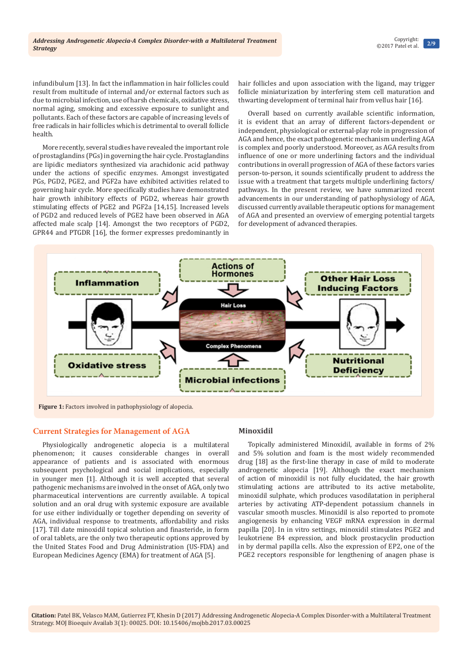infundibulum [13]. In fact the inflammation in hair follicles could result from multitude of internal and/or external factors such as due to microbial infection, use of harsh chemicals, oxidative stress, normal aging, smoking and excessive exposure to sunlight and pollutants. Each of these factors are capable of increasing levels of free radicals in hair follicles which is detrimental to overall follicle health.

More recently, several studies have revealed the important role of prostaglandins (PGs) in governing the hair cycle. Prostaglandins are lipidic mediators synthesized via arachidonic acid pathway under the actions of specific enzymes. Amongst investigated PGs, PGD2, PGE2, and PGF2a have exhibited activities related to governing hair cycle. More specifically studies have demonstrated hair growth inhibitory effects of PGD2, whereas hair growth stimulating effects of PGE2 and PGF2a [14,15]. Increased levels of PGD2 and reduced levels of PGE2 have been observed in AGA affected male scalp [14]. Amongst the two receptors of PGD2, GPR44 and PTGDR [16], the former expresses predominantly in

hair follicles and upon association with the ligand, may trigger follicle miniaturization by interfering stem cell maturation and thwarting development of terminal hair from vellus hair [16].

Overall based on currently available scientific information, it is evident that an array of different factors-dependent or independent, physiological or external-play role in progression of AGA and hence, the exact pathogenetic mechanism underling AGA is complex and poorly understood. Moreover, as AGA results from influence of one or more underlining factors and the individual contributions in overall progression of AGA of these factors varies person-to-person, it sounds scientifically prudent to address the issue with a treatment that targets multiple underlining factors/ pathways. In the present review, we have summarized recent advancements in our understanding of pathophysiology of AGA, discussed currently available therapeutic options for management of AGA and presented an overview of emerging potential targets for development of advanced therapies.



# **Current Strategies for Management of AGA**

Physiologically androgenetic alopecia is a multilateral phenomenon; it causes considerable changes in overall appearance of patients and is associated with enormous subsequent psychological and social implications, especially in younger men [1]. Although it is well accepted that several pathogenic mechanisms are involved in the onset of AGA, only two pharmaceutical interventions are currently available. A topical solution and an oral drug with systemic exposure are available for use either individually or together depending on severity of AGA, individual response to treatments, affordability and risks [17]. Till date minoxidil topical solution and finasteride, in form of oral tablets, are the only two therapeutic options approved by the United States Food and Drug Administration (US-FDA) and European Medicines Agency (EMA) for treatment of AGA [5].

# **Minoxidil**

Topically administered Minoxidil, available in forms of 2% and 5% solution and foam is the most widely recommended drug [18] as the first-line therapy in case of mild to moderate androgenetic alopecia [19]. Although the exact mechanism of action of minoxidil is not fully elucidated, the hair growth stimulating actions are attributed to its active metabolite, minoxidil sulphate, which produces vasodilatation in peripheral arteries by activating ATP-dependent potassium channels in vascular smooth muscles. Minoxidil is also reported to promote angiogenesis by enhancing VEGF mRNA expression in dermal papilla [20]. In in vitro settings, minoxidil stimulates PGE2 and leukotriene B4 expression, and block prostacyclin production in by dermal papilla cells. Also the expression of EP2, one of the PGE2 receptors responsible for lengthening of anagen phase is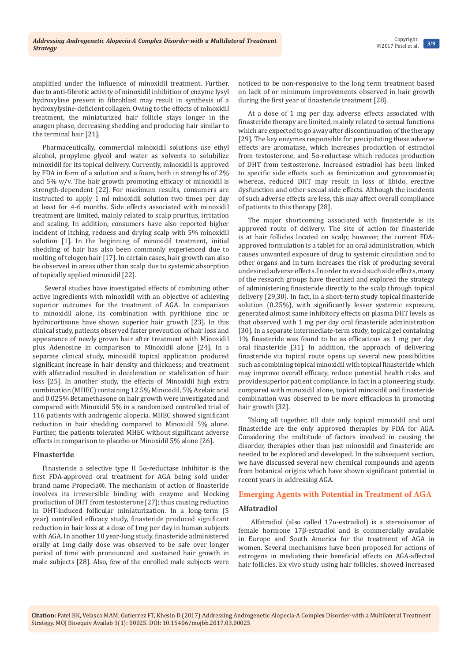amplified under the influence of minoxidil treatment. Further, due to anti-fibrotic activity of minoxidil inhibition of enzyme lysyl hydroxylase present in fibroblast may result in synthesis of a hydroxylysine-deficient collagen. Owing to the effects of minoxidil treatment, the miniaturized hair follicle stays longer in the anagen phase, decreasing shedding and producing hair similar to the terminal hair [21].

Pharmaceutically, commercial minoxidil solutions use ethyl alcohol, propylene glycol and water as solvents to solubilize minoxidil for its topical delivery. Currently, minoxidil is approved by FDA in form of a solution and a foam, both in strengths of 2% and 5% w/v. The hair growth promoting efficacy of minoxidil is strength-dependent [22]. For maximum results, consumers are instructed to apply 1 ml minoxidil solution two times per day at least for 4-6 months. Side effects associated with minoxidil treatment are limited, mainly related to scalp pruritus, irritation and scaling. In addition, consumers have also reported higher incident of itching, redness and drying scalp with 5% minoxidil solution [1]. In the beginning of minoxidil treatment, initial shedding of hair has also been commonly experienced due to molting of telogen hair [17]. In certain cases, hair growth can also be observed in areas other than scalp due to systemic absorption of topically applied minoxidil [22].

 Several studies have investigated effects of combining other active ingredients with minoxidil with an objective of achieving superior outcomes for the treatment of AGA. In comparison to minoxidil alone, its combination with pyrithione zinc or hydrocortisone have shown superior hair growth [23]. In this clinical study, patients observed faster prevention of hair loss and appearance of newly grown hair after treatment with Minoxidil plus Adenosine in comparison to Minoxidil alone [24]. In a separate clinical study, minoxidil topical application produced significant increase in hair density and thickness; and treatment with alfatradiol resulted in deceleration or stabilization of hair loss [25]. In another study, the effects of Minoxidil high extra combination (MHEC) containing 12.5% Minoxidil, 5% Azelaic acid and 0.025% Betamethasone on hair growth were investigated and compared with Minoxidil 5% in a randomized controlled trial of 116 patients with androgenic alopecia. MHEC showed significant reduction in hair shedding compared to Minoxidil 5% alone. Further, the patients tolerated MHEC without significant adverse effects in comparison to placebo or Minoxidil 5% alone [26].

# **Finasteride**

Finasteride a selective type II  $5\alpha$ -reductase inhibitor is the first FDA-approved oral treatment for AGA being sold under brand name Propecia®. The mechanism of action of finasteride involves its irreversible binding with enzyme and blocking production of DHT from testosterone [27]; thus causing reduction in DHT-induced follicular miniaturization. In a long-term (5 year) controlled efficacy study, finasteride produced significant reduction in hair loss at a dose of 1mg per day in human subjects with AGA. In another 10 year-long study, finasteride administered orally at 1mg daily dose was observed to be safe over longer period of time with pronounced and sustained hair growth in male subjects [28]. Also, few of the enrolled male subjects were noticed to be non-responsive to the long term treatment based on lack of or minimum improvements observed in hair growth during the first year of finasteride treatment [28].

At a dose of 1 mg per day, adverse effects associated with finasteride therapy are limited, mainly related to sexual functions which are expected to go away after discontinuation of the therapy [29]. The key enzymes responsible for precipitating these adverse effects are aromatase, which increases production of estradiol from testosterone, and 5α-reductase which reduces production of DHT from testosterone. Increased estradiol has been linked to specific side effects such as feminization and gynecomastia; whereas, reduced DHT may result in loss of libido, erective dysfunction and other sexual side effects. Although the incidents of such adverse effects are less, this may affect overall compliance of patients to this therapy [28].

The major shortcoming associated with finasteride is its approved route of delivery. The site of action for finasteride is at hair follicles located on scalp; however, the current FDAapproved formulation is a tablet for an oral administration, which causes unwanted exposure of drug to systemic circulation and to other organs and in turn increases the risk of producing several undesired adverse effects. In order to avoid such side effects, many of the research groups have theorized and explored the strategy of administering finasteride directly to the scalp through topical delivery [29,30]. In fact, in a short-term study topical finasteride solution (0.25%), with significantly lesser systemic exposure, generated almost same inhibitory effects on plasma DHT levels as that observed with 1 mg per day oral finasteride administration [30]. In a separate intermediate-term study, topical gel containing 1% finasteride was found to be as efficacious as 1 mg per day oral finasteride [31]. In addition, the approach of delivering finasteride via topical route opens up several new possibilities such as combining topical minoxidil with topical finasteride which may improve overall efficacy, reduce potential health risks and provide superior patient compliance. In fact in a pioneering study, compared with minoxidil alone, topical minoxidil and finasteride combination was observed to be more efficacious in promoting hair growth [32].

Taking all together, till date only topical minoxidil and oral finasteride are the only approved therapies by FDA for AGA. Considering the multitude of factors involved in causing the disorder, therapies other than just minoxidil and finasteride are needed to be explored and developed. In the subsequent section, we have discussed several new chemical compounds and agents from botanical origins which have shown significant potential in recent years in addressing AGA.

# **Emerging Agents with Potential in Treatment of AGA**

# **Alfatradiol**

 Alfatradiol (also called 17α-estradiol) is a stereoisomer of female hormone 17β-estradiol and is commercially available in Europe and South America for the treatment of AGA in women. Several mechanisms have been proposed for actions of estrogens in mediating their beneficial effects on AGA-affected hair follicles. Ex vivo study using hair follicles, showed increased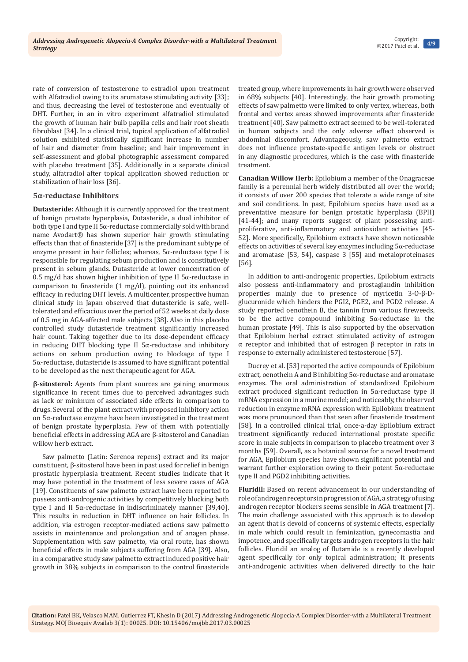rate of conversion of testosterone to estradiol upon treatment with Alfatradiol owing to its aromatase stimulating activity [33]; and thus, decreasing the level of testosterone and eventually of DHT. Further, in an in vitro experiment alfatradiol stimulated the growth of human hair bulb papilla cells and hair root sheath fibroblast [34]. In a clinical trial, topical application of alfatradiol solution exhibited statistically significant increase in number of hair and diameter from baseline; and hair improvement in self-assessment and global photographic assessment compared with placebo treatment [35]. Additionally in a separate clinical study, alfatradiol after topical application showed reduction or stabilization of hair loss [36].

# **5α-reductase Inhibitors**

**Dutasteride:** Although it is currently approved for the treatment of benign prostate hyperplasia, Dutasteride, a dual inhibitor of both type I and type II 5α-reductase commercially sold with brand name Avodart® has shown superior hair growth stimulating effects than that of finasteride [37] is the predominant subtype of enzyme present in hair follicles; whereas, 5α-reductase type I is responsible for regulating sebum production and is constitutively present in sebum glands. Dutasteride at lower concentration of 0.5 mg/d has shown higher inhibition of type II 5α-reductase in comparison to finasteride (1 mg/d), pointing out its enhanced efficacy in reducing DHT levels. A multicenter, prospective human clinical study in Japan observed that dutasteride is safe, welltolerated and efficacious over the period of 52 weeks at daily dose of 0.5 mg in AGA-affected male subjects [38]. Also in this placebo controlled study dutasteride treatment significantly increased hair count. Taking together due to its dose-dependent efficacy in reducing DHT blocking type II 5α-reductase and inhibitory actions on sebum production owing to blockage of type I 5α-reductase, dutasteride is assumed to have significant potential to be developed as the next therapeutic agent for AGA.

*B***-sitosterol:** Agents from plant sources are gaining enormous significance in recent times due to perceived advantages such as lack or minimum of associated side effects in comparison to drugs. Several of the plant extract with proposed inhibitory action on 5α-reductase enzyme have been investigated in the treatment of benign prostate hyperplasia. Few of them with potentially beneficial effects in addressing AGA are β-sitosterol and Canadian willow herb extract.

Saw palmetto (Latin: Serenoa repens) extract and its major constituent, β-sitosterol have been in past used for relief in benign prostatic hyperplasia treatment. Recent studies indicate that it may have potential in the treatment of less severe cases of AGA [19]. Constituents of saw palmetto extract have been reported to possess anti-androgenic activities by competitively blocking both type I and II 5α-reductase in indiscriminately manner [39,40]. This results in reduction in DHT influence on hair follicles. In addition, via estrogen receptor-mediated actions saw palmetto assists in maintenance and prolongation and of anagen phase. Supplementation with saw palmetto, via oral route, has shown beneficial effects in male subjects suffering from AGA [39]. Also, in a comparative study saw palmetto extract induced positive hair growth in 38% subjects in comparison to the control finasteride treated group, where improvements in hair growth were observed in 68% subjects [40]. Interestingly, the hair growth promoting effects of saw palmetto were limited to only vertex, whereas, both frontal and vertex areas showed improvements after finasteride treatment [40]. Saw palmetto extract seemed to be well-tolerated in human subjects and the only adverse effect observed is abdominal discomfort. Advantageously, saw palmetto extract does not influence prostate-specific antigen levels or obstruct in any diagnostic procedures, which is the case with finasteride treatment.

**Canadian Willow Herb:** Epilobium a member of the Onagraceae family is a perennial herb widely distributed all over the world; it consists of over 200 species that tolerate a wide range of site and soil conditions. In past, Epilobium species have used as a preventative measure for benign prostatic hyperplasia (BPH) [41-44]; and many reports suggest of plant possessing antiproliferative, anti-inflammatory and antioxidant activities [45- 52]. More specifically, Epilobium extracts have shown noticeable effects on activities of several key enzymes including 5α-reductase and aromatase [53, 54], caspase 3 [55] and metaloproteinases [56].

In addition to anti-androgenic properties, Epilobium extracts also possess anti-inflammatory and prostaglandin inhibition properties mainly due to presence of myricetin 3-O-β-Dglucuronide which hinders the PGI2, PGE2, and PGD2 release. A study reported oenothein B, the tannin from various fireweeds, to be the active compound inhibiting 5α-reductase in the human prostate [49]. This is also supported by the observation that Epilobium herbal extract stimulated activity of estrogen α receptor and inhibited that of estrogen β receptor in rats in response to externally administered testosterone [57].

Ducrey et al. [53] reported the active compounds of Epilobium extract, oenothein A and B inhibiting 5α-reductase and aromatase enzymes. The oral administration of standardized Epilobium extract produced significant reduction in 5α-reductase type II mRNA expression in a murine model; and noticeably, the observed reduction in enzyme mRNA expression with Epilobium treatment was more pronounced than that seen after finasteride treatment [58]. In a controlled clinical trial, once-a-day Epilobium extract treatment significantly reduced international prostate specific score in male subjects in comparison to placebo treatment over 3 months [59]. Overall, as a botanical source for a novel treatment for AGA, Epilobium species have shown significant potential and warrant further exploration owing to their potent 5α-reductase type II and PGD2 inhibiting activities.

**Fluridil:** Based on recent advancement in our understanding of role of androgen receptors in progression of AGA, a strategy of using androgen receptor blockers seems sensible in AGA treatment [7]. The main challenge associated with this approach is to develop an agent that is devoid of concerns of systemic effects, especially in male which could result in feminization, gynecomastia and impotence, and specifically targets androgen receptors in the hair follicles. Fluridil an analog of flutamide is a recently developed agent specifically for only topical administration; it presents anti-androgenic activities when delivered directly to the hair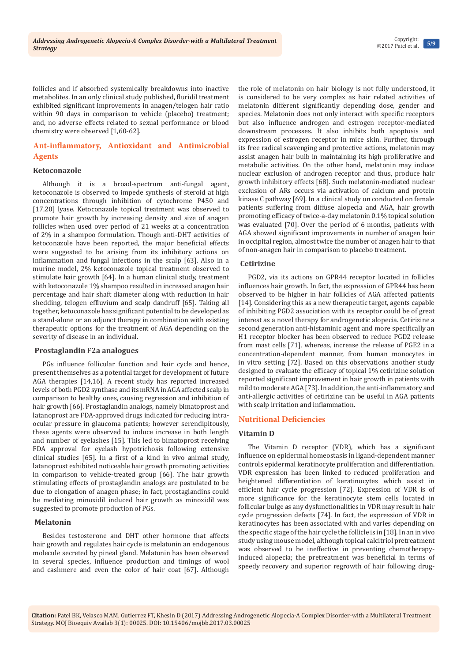follicles and if absorbed systemically breakdowns into inactive metabolites. In an only clinical study published, fluridil treatment exhibited significant improvements in anagen/telogen hair ratio within 90 days in comparison to vehicle (placebo) treatment; and, no adverse effects related to sexual performance or blood chemistry were observed [1,60-62].

# **Ant-inflammatory, Antioxidant and Antimicrobial Agents**

#### **Ketoconazole**

Although it is a broad-spectrum anti-fungal agent, ketoconazole is observed to impede synthesis of steroid at high concentrations through inhibition of cytochrome P450 and [17,20] lyase. Ketoconazole topical treatment was observed to promote hair growth by increasing density and size of anagen follicles when used over period of 21 weeks at a concentration of 2% in a shampoo formulation. Though anti-DHT activities of ketoconazole have been reported, the major beneficial effects were suggested to be arising from its inhibitory actions on inflammation and fungal infections in the scalp [63]. Also in a murine model, 2% ketoconazole topical treatment observed to stimulate hair growth [64]. In a human clinical study, treatment with ketoconazole 1% shampoo resulted in increased anagen hair percentage and hair shaft diameter along with reduction in hair shedding, telogen effluvium and scalp dandruff [65]. Taking all together, ketoconazole has significant potential to be developed as a stand-alone or an adjunct therapy in combination with existing therapeutic options for the treatment of AGA depending on the severity of disease in an individual.

#### **Prostaglandin F2a analogues**

PGs influence follicular function and hair cycle and hence, present themselves as a potential target for development of future AGA therapies [14,16]. A recent study has reported increased levels of both PGD2 synthase and its mRNA in AGA affected scalp in comparison to healthy ones, causing regression and inhibition of hair growth [66]. Prostaglandin analogs, namely bimatoprost and latanoprost are FDA-approved drugs indicated for reducing intraocular pressure in glaucoma patients; however serendipitously, these agents were observed to induce increase in both length and number of eyelashes [15]. This led to bimatoprost receiving FDA approval for eyelash hypotrichosis following extensive clinical studies [65]. In a first of a kind in vivo animal study, latanoprost exhibited noticeable hair growth promoting activities in comparison to vehicle-treated group [66]. The hair growth stimulating effects of prostaglandin analogs are postulated to be due to elongation of anagen phase; in fact, prostaglandins could be mediating minoxidil induced hair growth as minoxidil was suggested to promote production of PGs.

# **Melatonin**

Besides testosterone and DHT other hormone that affects hair growth and regulates hair cycle is melatonin an endogenous molecule secreted by pineal gland. Melatonin has been observed in several species, influence production and timings of wool and cashmere and even the color of hair coat [67]. Although

the role of melatonin on hair biology is not fully understood, it is considered to be very complex as hair related activities of melatonin different significantly depending dose, gender and species. Melatonin does not only interact with specific receptors but also influence androgen and estrogen receptor-mediated downstream processes. It also inhibits both apoptosis and expression of estrogen receptor in mice skin. Further, through its free radical scavenging and protective actions, melatonin may assist anagen hair bulb in maintaining its high proliferative and metabolic activities. On the other hand, melatonin may induce nuclear exclusion of androgen receptor and thus, produce hair growth inhibitory effects [68]. Such melatonin-mediated nuclear exclusion of ARs occurs via activation of calcium and protein kinase C pathway [69]. In a clinical study on conducted on female patients suffering from diffuse alopecia and AGA, hair growth promoting efficacy of twice-a-day melatonin 0.1% topical solution was evaluated [70]. Over the period of 6 months, patients with AGA showed significant improvements in number of anagen hair in occipital region, almost twice the number of anagen hair to that of non-anagen hair in comparison to placebo treatment.

# **Cetirizine**

PGD2, via its actions on GPR44 receptor located in follicles influences hair growth. In fact, the expression of GPR44 has been observed to be higher in hair follicles of AGA affected patients [14]. Considering this as a new therapeutic target, agents capable of inhibiting PGD2 association with its receptor could be of great interest as a novel therapy for androgenetic alopecia. Cetirizine a second generation anti-histaminic agent and more specifically an H1 receptor blocker has been observed to reduce PGD2 release from mast cells [71], whereas, increase the release of PGE2 in a concentration-dependent manner, from human monocytes in in vitro setting [72]. Based on this observations another study designed to evaluate the efficacy of topical 1% cetirizine solution reported significant improvement in hair growth in patients with mild to moderate AGA [73]. In addition, the anti-inflammatory and anti-allergic activities of cetirizine can be useful in AGA patients with scalp irritation and inflammation.

# **Nutritional Deficiencies**

# **Vitamin D**

The Vitamin D receptor (VDR), which has a significant influence on epidermal homeostasis in ligand-dependent manner controls epidermal keratinocyte proliferation and differentiation. VDR expression has been linked to reduced proliferation and heightened differentiation of keratinocytes which assist in efficient hair cycle progression [72]. Expression of VDR is of more significance for the keratinocyte stem cells located in follicular bulge as any dysfunctionalities in VDR may result in hair cycle progression defects [74]. In fact, the expression of VDR in keratinocytes has been associated with and varies depending on the specific stage of the hair cycle the follicle is in [18]. In an in vivo study using mouse model, although topical calcitriol pretreatment was observed to be ineffective in preventing chemotherapyinduced alopecia; the pretreatment was beneficial in terms of speedy recovery and superior regrowth of hair following drug-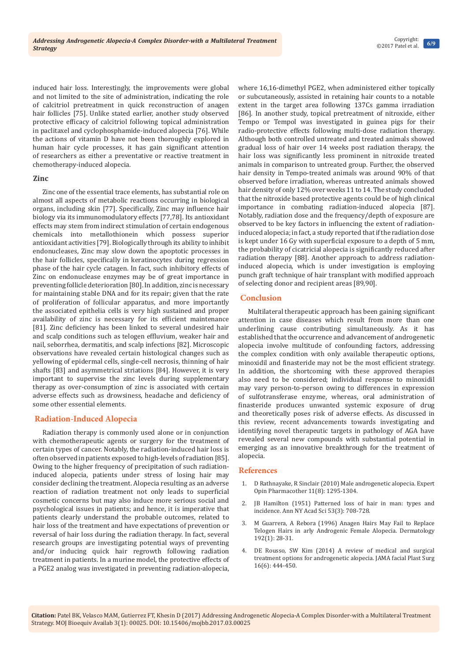**6/9** Copyright: ©2017 Patel et al.

induced hair loss. Interestingly, the improvements were global and not limited to the site of administration, indicating the role of calcitriol pretreatment in quick reconstruction of anagen hair follicles [75]. Unlike stated earlier, another study observed protective efficacy of calcitriol following topical administration in paclitaxel and cyclophosphamide-induced alopecia [76]. While the actions of vitamin D have not been thoroughly explored in human hair cycle processes, it has gain significant attention of researchers as either a preventative or reactive treatment in chemotherapy-induced alopecia.

#### **Zinc**

Zinc one of the essential trace elements, has substantial role on almost all aspects of metabolic reactions occurring in biological organs, including skin [77]. Specifically, Zinc may influence hair biology via its immunomodulatory effects [77,78]. Its antioxidant effects may stem from indirect stimulation of certain endogenous chemicals into metallothionein which possess superior antioxidant activities [79]. Biologically through its ability to inhibit endonucleases, Zinc may slow down the apoptotic processes in the hair follicles, specifically in keratinocytes during regression phase of the hair cycle catagen. In fact, such inhibitory effects of Zinc on endonuclease enzymes may be of great importance in preventing follicle deterioration [80]. In addition, zinc is necessary for maintaining stable DNA and for its repair; given that the rate of proliferation of follicular apparatus, and more importantly the associated epithelia cells is very high sustained and proper availability of zinc is necessary for its efficient maintenance [81]. Zinc deficiency has been linked to several undesired hair and scalp conditions such as telogen effluvium, weaker hair and nail, seborrhea, dermatitis, and scalp infections [82]. Microscopic observations have revealed certain histological changes such as yellowing of epidermal cells, single-cell necrosis, thinning of hair shafts [83] and asymmetrical striations [84]. However, it is very important to supervise the zinc levels during supplementary therapy as over-consumption of zinc is associated with certain adverse effects such as drowsiness, headache and deficiency of some other essential elements.

# **Radiation-Induced Alopecia**

Radiation therapy is commonly used alone or in conjunction with chemotherapeutic agents or surgery for the treatment of certain types of cancer. Notably, the radiation-induced hair loss is often observed in patients exposed to high-levels of radiation [85]. Owing to the higher frequency of precipitation of such radiationinduced alopecia, patients under stress of losing hair may consider declining the treatment. Alopecia resulting as an adverse reaction of radiation treatment not only leads to superficial cosmetic concerns but may also induce more serious social and psychological issues in patients; and hence, it is imperative that patients clearly understand the probable outcomes, related to hair loss of the treatment and have expectations of prevention or reversal of hair loss during the radiation therapy. In fact, several research groups are investigating potential ways of preventing and/or inducing quick hair regrowth following radiation treatment in patients. In a murine model, the protective effects of a PGE2 analog was investigated in preventing radiation-alopecia, where 16,16-dimethyl PGE2, when administered either topically or subcutaneously, assisted in retaining hair counts to a notable extent in the target area following 137Cs gamma irradiation [86]. In another study, topical pretreatment of nitroxide, either Tempo or Tempol was investigated in guinea pigs for their radio-protective effects following multi-dose radiation therapy. Although both controlled untreated and treated animals showed gradual loss of hair over 14 weeks post radiation therapy, the hair loss was significantly less prominent in nitroxide treated animals in comparison to untreated group. Further, the observed hair density in Tempo-treated animals was around 90% of that observed before irradiation, whereas untreated animals showed hair density of only 12% over weeks 11 to 14. The study concluded that the nitroxide based protective agents could be of high clinical importance in combating radiation-induced alopecia [87]. Notably, radiation dose and the frequency/depth of exposure are observed to be key factors in influencing the extent of radiationinduced alopecia; in fact, a study reported that if the radiation dose is kept under 16 Gy with superficial exposure to a depth of 5 mm, the probability of cicatricial alopecia is significantly reduced after radiation therapy [88]. Another approach to address radiationinduced alopecia, which is under investigation is employing punch graft technique of hair transplant with modified approach of selecting donor and recipient areas [89,90].

# **Conclusion**

Multilateral therapeutic approach has been gaining significant attention in case diseases which result from more than one underlining cause contributing simultaneously. As it has established that the occurrence and advancement of androgenetic alopecia involve multitude of confounding factors, addressing the complex condition with only available therapeutic options, minoxidil and finasteride may not be the most efficient strategy. In addition, the shortcoming with these approved therapies also need to be considered; individual response to minoxidil may vary person-to-person owing to differences in expression of sulfotransferase enzyme, whereas, oral administration of finasteride produces unwanted systemic exposure of drug and theoretically poses risk of adverse effects. As discussed in this review, recent advancements towards investigating and identifying novel therapeutic targets in pathology of AGA have revealed several new compounds with substantial potential in emerging as an innovative breakthrough for the treatment of alopecia.

#### **References**

- 1. [D Rathnayake, R Sinclair \(2010\) Male androgenetic alopecia. Expert](https://www.ncbi.nlm.nih.gov/pubmed/20426708)  [Opin Pharmacother 11\(8\): 1295-1304.](https://www.ncbi.nlm.nih.gov/pubmed/20426708)
- 2. [JB Hamilton \(1951\) Patterned loss of hair in man: types and](https://www.ncbi.nlm.nih.gov/pubmed/14819896)  [incidence. Ann NY Acad Sci 53\(3\): 708-728.](https://www.ncbi.nlm.nih.gov/pubmed/14819896)
- 3. [M Guarrera, A Rebora \(1996\) Anagen Hairs May Fail to Replace](https://www.ncbi.nlm.nih.gov/pubmed/8832948)  [Telogen Hairs in arly Androgenic Female Alopecia. Dermatology](https://www.ncbi.nlm.nih.gov/pubmed/8832948)  [192\(1\): 28-31.](https://www.ncbi.nlm.nih.gov/pubmed/8832948)
- DE Rousso, SW Kim (2014) A review of medical and surgical [treatment options for androgenetic alopecia. JAMA facial Plast Surg](https://www.ncbi.nlm.nih.gov/pubmed/25188680)  [16\(6\): 444-450.](https://www.ncbi.nlm.nih.gov/pubmed/25188680)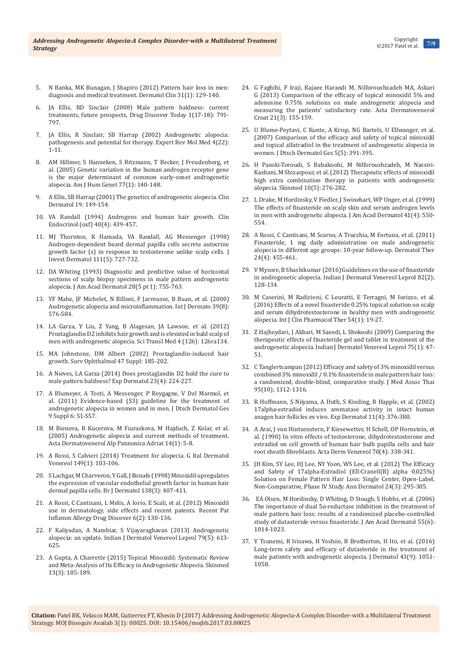- 5. [N Banka, MK Bunagan, J Shapiro \(2012\) Pattern hair loss in men:](https://www.ncbi.nlm.nih.gov/labs/articles/23159182/)  [diagnosis and medical treatment. Dermatol Clin 31\(1\): 129-140.](https://www.ncbi.nlm.nih.gov/labs/articles/23159182/)
- 6. [JA Ellis, RD Sinclair \(2008\) Male pattern baldness: current](https://www.ncbi.nlm.nih.gov/pubmed/18617016)  [treatments, future prospects, Drug Discover Today 1\(17-18\): 791-](https://www.ncbi.nlm.nih.gov/pubmed/18617016) [797.](https://www.ncbi.nlm.nih.gov/pubmed/18617016)
- 7. [JA Ellis, R Sinclair, SB Harrap \(2002\) Androgenetic alopecia:](https://www.ncbi.nlm.nih.gov/pubmed/14585162)  [pathogenesis and potential for therapy. Expert Rev Mol Med 4\(22\):](https://www.ncbi.nlm.nih.gov/pubmed/14585162)  [1-11.](https://www.ncbi.nlm.nih.gov/pubmed/14585162)
- 8. [AM Hillmer, S Hanneken, S Ritzmann, T Becker, J Freudenberg, et](https://www.ncbi.nlm.nih.gov/pubmed/15902657)  [al. \(2005\) Genetic variation in the human androgen receptor gene](https://www.ncbi.nlm.nih.gov/pubmed/15902657)  [is the major determinant of common early-onset androgenetic](https://www.ncbi.nlm.nih.gov/pubmed/15902657)  [alopecia. Am J Hum Genet 77\(1\): 140-148.](https://www.ncbi.nlm.nih.gov/pubmed/15902657)
- 9. A Ellis, SB Harrap (2001) The genetics of androgenetic alopecia. Clin Dermatol 19: 149-154.
- 10. [VA Randall \(1994\) Androgens and human hair growth. Clin](https://www.ncbi.nlm.nih.gov/pubmed/8187311)  [Endocrinol \(oxf\) 40\(4\): 439-457.](https://www.ncbi.nlm.nih.gov/pubmed/8187311)
- 11. [MJ Thornton, K Hamada, VA Randall, AG Messenger \(1998\)](https://www.ncbi.nlm.nih.gov/pubmed/9804329)  [Androgen-dependent beard dermal papilla cells secrete autocrine](https://www.ncbi.nlm.nih.gov/pubmed/9804329)  [growth factor \(s\) in response to testosterone unlike scalp cells. J](https://www.ncbi.nlm.nih.gov/pubmed/9804329)  [Invest Dermatol 111\(5\): 727-732.](https://www.ncbi.nlm.nih.gov/pubmed/9804329)
- 12. [DA Whiting \(1993\) Diagnostic and predictive value of horizontal](https://www.ncbi.nlm.nih.gov/pubmed/8496421)  [sections of scalp biopsy specimens in male pattern androgenetic](https://www.ncbi.nlm.nih.gov/pubmed/8496421)  [alopecia. J Am Acad Dermatol 28\(5 pt 1\): 755-763.](https://www.ncbi.nlm.nih.gov/pubmed/8496421)
- 13. [YF Mahe, JF Michelet, N Billoni, F Jarrousse, B Buan, et al. \(2000\)](https://www.ncbi.nlm.nih.gov/pubmed/10971723)  [Androgenetic alopecia and microinflammation. Int J Dermato 39\(8\):](https://www.ncbi.nlm.nih.gov/pubmed/10971723)  [576-584.](https://www.ncbi.nlm.nih.gov/pubmed/10971723)
- 14. [LA Garza, Y Liu, Z Yang, B Alagesan, JA Lawson, et al. \(2012\)](https://www.ncbi.nlm.nih.gov/pubmed/22440736/)  [Prostaglandin D2 inhibits hair growth and is elevated in bald scalp of](https://www.ncbi.nlm.nih.gov/pubmed/22440736/)  [men with androgenetic alopecia. Sci Transl Med 4 \(126\): 126ra134.](https://www.ncbi.nlm.nih.gov/pubmed/22440736/)
- 15. [MA Johnstone, DM Albert \(2002\) Prostaglandin-induced hair](https://www.ncbi.nlm.nih.gov/pubmed/12204716)  [growth. Surv Ophthalmol 47 Suppl: 185-202.](https://www.ncbi.nlm.nih.gov/pubmed/12204716)
- 16. [A Nieves, LA Garza \(2014\) Does prostaglandin D2 hold the cure to](https://www.ncbi.nlm.nih.gov/pubmed/24521203)  [male pattern baldness? Exp Dermatol 23\(4\): 224-227.](https://www.ncbi.nlm.nih.gov/pubmed/24521203)
- 17. [A Blumeyer, A Tosti, A Messenger, P Reygagne, V Del Marmol, et](https://www.ncbi.nlm.nih.gov/pubmed/21980982)  [al. \(2011\) Evidence-based \(S3\) guideline for the treatment of](https://www.ncbi.nlm.nih.gov/pubmed/21980982)  [androgenetic alopecia in women and in men. J Dtsch Dermatol Ges](https://www.ncbi.nlm.nih.gov/pubmed/21980982)  [9 Suppl 6: S1-S57.](https://www.ncbi.nlm.nih.gov/pubmed/21980982)
- 18. [M Bienova, R Kucerova, M Fiuraskova, M Hajduch, Z Kolar, et al.](https://www.ncbi.nlm.nih.gov/pubmed/15818439)  [\(2005\) Androgenetic alopecia and current methods of treatment.](https://www.ncbi.nlm.nih.gov/pubmed/15818439)  [Acta Dermatovenerol Alp Pannonica Adriat 14\(1\): 5-8.](https://www.ncbi.nlm.nih.gov/pubmed/15818439)
- 19. [A Rossi, S Calvieri \(2014\) Treatment for alopecia. G Ital Dermatol](https://www.ncbi.nlm.nih.gov/pubmed/24566570)  [Venereol 149\(1\): 103-106.](https://www.ncbi.nlm.nih.gov/pubmed/24566570)
- 20. [S Lachgar, M Charveron, Y Gall, J Bonafe \(1998\) Minoxidil upregulates](https://www.ncbi.nlm.nih.gov/pubmed/9580790)  [the expression of vascular endothelial growth factor in human hair](https://www.ncbi.nlm.nih.gov/pubmed/9580790)  [dermal papilla cells. Br J Dermatol 138\(3\): 407-411.](https://www.ncbi.nlm.nih.gov/pubmed/9580790)
- 21. [A Rossi, C Cantisani, L Melis, A Iorio, E Scali, et al. \(2012\) Minoxidil](https://www.ncbi.nlm.nih.gov/pubmed/22409453)  [use in dermatology, side effects and recent patents. Recent Pat](https://www.ncbi.nlm.nih.gov/pubmed/22409453)  [Inflamm Allergy Drug Discover 6\(2\): 130-136.](https://www.ncbi.nlm.nih.gov/pubmed/22409453)
- 22. [F Kaliyadan, A Nambiar, S Vijayaraghavan \(2013\) Androgenetic](https://www.ncbi.nlm.nih.gov/pubmed/23974579)  [alopecia: an update. Indian J Dermatol Venereol Leprol 79\(5\): 613-](https://www.ncbi.nlm.nih.gov/pubmed/23974579) [625.](https://www.ncbi.nlm.nih.gov/pubmed/23974579)
- 23. [A Gupta, A Charrette \(2015\) Topical Minoxidil: Systematic Review](https://www.ncbi.nlm.nih.gov/pubmed/26380504)  [and Meta-Analysis of Its Efficacy in Androgenetic Alopecia. Skinmed](https://www.ncbi.nlm.nih.gov/pubmed/26380504)  [13\(3\): 185-189.](https://www.ncbi.nlm.nih.gov/pubmed/26380504)
- 24. [G Faghihi, F Iraji, Rajaee Harandi M, Nilforoushzadeh MA, Askari](https://www.ncbi.nlm.nih.gov/pubmed/24183218)  G [\(2013\) Comparison of the efficacy of topical minoxidil 5% and](https://www.ncbi.nlm.nih.gov/pubmed/24183218)  [adenosine 0.75% solutions on male androgenetic alopecia and](https://www.ncbi.nlm.nih.gov/pubmed/24183218)  [measuring the patients' satisfactory rate. Acta Dermatovenerol](https://www.ncbi.nlm.nih.gov/pubmed/24183218)  [Croat 21\(3\): 155-159.](https://www.ncbi.nlm.nih.gov/pubmed/24183218)
- 25. [U Blume-Peytavi, C Kunte, A Krisp, NG Bartels, U Ellwanger, et al.](https://www.ncbi.nlm.nih.gov/pubmed/17451383)  [\(2007\) Comparison of the efficacy and safety of topical minoxidil](https://www.ncbi.nlm.nih.gov/pubmed/17451383)  [and topical alfatradiol in the treatment of androgenetic alopecia in](https://www.ncbi.nlm.nih.gov/pubmed/17451383)  [women. J Dtsch Dermatol Ges 5\(5\): 391-395.](https://www.ncbi.nlm.nih.gov/pubmed/17451383)
- 26. [H Pazoki-Toroudi, S Babakoohi, M Nilforoushzadeh, M Nassiri-](https://www.ncbi.nlm.nih.gov/pubmed/23163069)[Kashani, M Shizarpour, et al. \(2012\) Therapeutic effects of minoxidil](https://www.ncbi.nlm.nih.gov/pubmed/23163069)  [high extra combination therapy in patients with androgenetic](https://www.ncbi.nlm.nih.gov/pubmed/23163069)  [alopecia. Skinmed 10\(5\): 276-282.](https://www.ncbi.nlm.nih.gov/pubmed/23163069)
- 27. [L Drake, M Hordinsky, V Fiedler, J Swinehart, WP Unger, et al. \(1999\)](https://www.ncbi.nlm.nih.gov/pubmed/10495374)  [The effects of finasteride on scalp skin and serum androgen levels](https://www.ncbi.nlm.nih.gov/pubmed/10495374)  [in men with androgenetic alopecia. J Am Acad Dermatol 41\(4\): 550-](https://www.ncbi.nlm.nih.gov/pubmed/10495374) [554.](https://www.ncbi.nlm.nih.gov/pubmed/10495374)
- 28. [A Rossi, C Cantisani, M Scarno, A Trucchia, M Fortuna, et al. \(2011\)](https://www.ncbi.nlm.nih.gov/pubmed/21910805)  [Finasteride, 1 mg daily administration on male androgenetic](https://www.ncbi.nlm.nih.gov/pubmed/21910805)  [alopecia in different age groups: 10-year follow-up. Dermatol Ther](https://www.ncbi.nlm.nih.gov/pubmed/21910805)  [24\(4\): 455-461.](https://www.ncbi.nlm.nih.gov/pubmed/21910805)
- 29. [V Mysore, B Shashikumar \(2016\) Guidelines on the use of finasteride](https://www.ncbi.nlm.nih.gov/pubmed/26924401)  [in androgenetic alopecia. Indian J Dermatol Venereol Leprol 82\(2\);](https://www.ncbi.nlm.nih.gov/pubmed/26924401)  [128-134.](https://www.ncbi.nlm.nih.gov/pubmed/26924401)
- 30. [M Caserini, M Radicioni, C Leuratti, E Terragni, M Iorizzo, et al.](https://www.ncbi.nlm.nih.gov/pubmed/26636418)  [\(2016\) Effects of a novel finasteride 0.25% topical solution on scalp](https://www.ncbi.nlm.nih.gov/pubmed/26636418)  [and serum dihydrotestosterone in healthy men with androgenetic](https://www.ncbi.nlm.nih.gov/pubmed/26636418)  [alopecia. Int J Clin Pharmacol Ther 54\(1\): 19-27.](https://www.ncbi.nlm.nih.gov/pubmed/26636418)
- 31. [Z Hajheydari, J Akbari, M Saeedi, L Shokoohi \(2009\) Comparing the](https://www.ncbi.nlm.nih.gov/pubmed/19172031)  [therapeutic effects of finasteride gel and tablet in treatment of the](https://www.ncbi.nlm.nih.gov/pubmed/19172031)  [androgenetic alopecia. Indian J Dermatol Venereol Leprol 75\(1\): 47-](https://www.ncbi.nlm.nih.gov/pubmed/19172031) [51.](https://www.ncbi.nlm.nih.gov/pubmed/19172031)
- 32. [C Tanglertsampan \(2012\) Efficacy and safety of 3% minoxidil versus](https://www.ncbi.nlm.nih.gov/pubmed/23193746)  [combined 3% minoxidil / 0.1% finasteride in male pattern hair loss:](https://www.ncbi.nlm.nih.gov/pubmed/23193746)  [a randomized, double-blind, comparative study. J Med Assoc Thai](https://www.ncbi.nlm.nih.gov/pubmed/23193746)  [95\(10\); 1312-1316.](https://www.ncbi.nlm.nih.gov/pubmed/23193746)
- 33. [R Hoffmann, S Niiyama, A Huth, S Kissling, R Happle, et al. \(2002\)](https://www.ncbi.nlm.nih.gov/pubmed/12190948)  [17alpha-estradiol induces aromatase activity in intact human](https://www.ncbi.nlm.nih.gov/pubmed/12190948)  [anagen hair follicles ex vivo. Exp Dermatol 11\(4\): 376-380.](https://www.ncbi.nlm.nih.gov/pubmed/12190948)
- 34. [A Arai, J von Hintzenstern, F Kiesewetter, H Schell, OP Hornstein, et](https://www.ncbi.nlm.nih.gov/pubmed/1977261)  [al. \(1990\) In vitro effects of testosterone, dihydrotestosterone and](https://www.ncbi.nlm.nih.gov/pubmed/1977261)  [estradiol on cell growth of human hair bulb papilla cells and hair](https://www.ncbi.nlm.nih.gov/pubmed/1977261)  [root sheath fibroblasts. Acta Derm Venereol 70\(4\): 338-341.](https://www.ncbi.nlm.nih.gov/pubmed/1977261)
- 35. [JH Kim, SY Lee, HJ Lee, NY Yoon, WS Lee, et al. \(2012\) The Efficacy](https://www.ncbi.nlm.nih.gov/pmc/articles/PMC3412238/)  [and Safety of 17alpha-Estradiol \(Ell-Cranell\(R\) alpha 0.025%\)](https://www.ncbi.nlm.nih.gov/pmc/articles/PMC3412238/)  [Solution on Female Pattern Hair Loss: Single Center, Open-Label,](https://www.ncbi.nlm.nih.gov/pmc/articles/PMC3412238/)  [Non-Comparative, Phase IV Study. Ann Dermatol 24\(3\): 295-305.](https://www.ncbi.nlm.nih.gov/pmc/articles/PMC3412238/)
- 36. [EA Olsen, M Hordinsky, D Whiting, D Stough, S Hobbs, et al. \(2006\)](https://www.ncbi.nlm.nih.gov/pubmed/17110217)  [The importance of dual 5α-reductase inhibition in the treatment of](https://www.ncbi.nlm.nih.gov/pubmed/17110217)  [male pattern hair loss: results of a randomized placebo-controlled](https://www.ncbi.nlm.nih.gov/pubmed/17110217)  [study of dutasteride versus finasteride. J Am Acad Dermatol 55\(6\):](https://www.ncbi.nlm.nih.gov/pubmed/17110217)  [1014-1023.](https://www.ncbi.nlm.nih.gov/pubmed/17110217)
- 37. [Y Tsunemi, R Irisawa, H Yoshiie, B Brotherton, H Ito, et al. \(2016\)](https://www.ncbi.nlm.nih.gov/pubmed/26893187)  [Long‐term safety and efficacy of dutasteride in the treatment of](https://www.ncbi.nlm.nih.gov/pubmed/26893187)  [male patients with androgenetic alopecia. J Dermatol 43\(9\): 1051-](https://www.ncbi.nlm.nih.gov/pubmed/26893187) [1058.](https://www.ncbi.nlm.nih.gov/pubmed/26893187)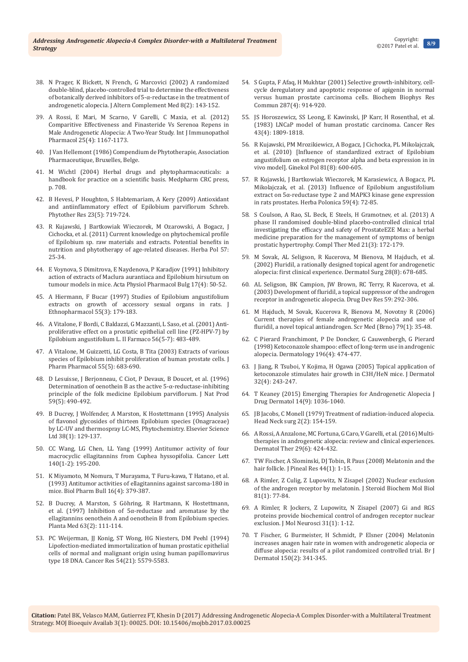- 38. [N Prager, K Bickett, N French, G Marcovici \(2002\) A randomized](https://www.ncbi.nlm.nih.gov/pubmed/12006122)  [double-blind, placebo-controlled trial to determine the effectiveness](https://www.ncbi.nlm.nih.gov/pubmed/12006122)  [of botanically derived inhibitors of 5-](https://www.ncbi.nlm.nih.gov/pubmed/12006122)α-reductase in the treatment of [androgenetic alopecia. J Altern Complement Med 8\(2\): 143-152.](https://www.ncbi.nlm.nih.gov/pubmed/12006122)
- 39. [A Rossi, E Mari, M Scarno, V Garelli, C Maxia, et al. \(2012\)](https://www.ncbi.nlm.nih.gov/pubmed/23298508)  [Comparitive Effectiveness and Finasteride Vs Serenoa Repens in](https://www.ncbi.nlm.nih.gov/pubmed/23298508)  [Male Androgenetic Alopecia: A Two-Year Study. Int J Immunopathol](https://www.ncbi.nlm.nih.gov/pubmed/23298508)  [Pharmacol 25\(4\): 1167-1173.](https://www.ncbi.nlm.nih.gov/pubmed/23298508)
- 40. [J Van Hellemont \(1986\) Compendium de Phytotherapie, Association](http://www.worldcat.org/title/compendium-de-phytotherapie/oclc/803345514?referer=di&ht=edition)  [Pharmaceutique, Bruxelles, Belge.](http://www.worldcat.org/title/compendium-de-phytotherapie/oclc/803345514?referer=di&ht=edition)
- 41. [M Wichtl \(2004\) Herbal drugs and phytopharmaceuticals: a](https://www.crcpress.com/Herbal-Drugs-and-Phytopharmaceuticals-Third-Edition/Wichtl/p/book/9780849319617)  [handbook for practice on a scientific basis. Medpharm CRC press,](https://www.crcpress.com/Herbal-Drugs-and-Phytopharmaceuticals-Third-Edition/Wichtl/p/book/9780849319617)  [p. 708.](https://www.crcpress.com/Herbal-Drugs-and-Phytopharmaceuticals-Third-Edition/Wichtl/p/book/9780849319617)
- 42. [B Hevesi, P Houghton, S Habtemariam, A Kery \(2009\) Antioxidant](https://www.ncbi.nlm.nih.gov/pubmed/19107731)  [and antiinflammatory effect of Epilobium parviflorum Schreb.](https://www.ncbi.nlm.nih.gov/pubmed/19107731)  [Phytother Res 23\(5\): 719-724.](https://www.ncbi.nlm.nih.gov/pubmed/19107731)
- 43. [R Kujawski, J Bartkowiak Wieczorek, M Ozarowski, A Bogacz, J](https://www.researchgate.net/publication/259312405_Current_knowledge_on_phytochemical_profile_of_Epilobium_sp_raw_materials_and_extracts_Potential_benefits_in_nutrition_and_phytotherapy_of_age-related_diseases)  [Cichocka, et al. \(2011\) Current knowledge on phytochemical profile](https://www.researchgate.net/publication/259312405_Current_knowledge_on_phytochemical_profile_of_Epilobium_sp_raw_materials_and_extracts_Potential_benefits_in_nutrition_and_phytotherapy_of_age-related_diseases)  [of Epilobium sp. raw materials and extracts. Potential benefits in](https://www.researchgate.net/publication/259312405_Current_knowledge_on_phytochemical_profile_of_Epilobium_sp_raw_materials_and_extracts_Potential_benefits_in_nutrition_and_phytotherapy_of_age-related_diseases)  [nutrition and phytotherapy of age-related diseases. Herba Pol 57:](https://www.researchgate.net/publication/259312405_Current_knowledge_on_phytochemical_profile_of_Epilobium_sp_raw_materials_and_extracts_Potential_benefits_in_nutrition_and_phytotherapy_of_age-related_diseases)  [25-34.](https://www.researchgate.net/publication/259312405_Current_knowledge_on_phytochemical_profile_of_Epilobium_sp_raw_materials_and_extracts_Potential_benefits_in_nutrition_and_phytotherapy_of_age-related_diseases)
- 44. [E Voynova, S Dimitrova, E Naydenova, P Karadjov \(1991\) Inhibitory](https://www.ncbi.nlm.nih.gov/pubmed/1841518)  [action of extracts of Maclura aurantiaca and Epilobium hirsutum on](https://www.ncbi.nlm.nih.gov/pubmed/1841518)  [tumour models in mice. Acta Physiol Pharmacol Bulg 17\(4\): 50-52.](https://www.ncbi.nlm.nih.gov/pubmed/1841518)
- 45. [A Hiermann, F Bucar \(1997\) Studies of Epilobium angustifolium](https://www.ncbi.nlm.nih.gov/pubmed/9080338)  [extracts on growth of accessory sexual organs in rats. J](https://www.ncbi.nlm.nih.gov/pubmed/9080338)  [Ethnopharmacol 55\(3\): 179-183.](https://www.ncbi.nlm.nih.gov/pubmed/9080338)
- 46. [A Vitalone, F Bordi, C Baldazzi, G Mazzanti, L Saso, et al. \(2001\) Anti](https://www.ncbi.nlm.nih.gov/pubmed/11482783)[proliferative effect on a prostatic epithelial cell line \(PZ-HPV-7\) by](https://www.ncbi.nlm.nih.gov/pubmed/11482783)  [Epilobium angustifolium L. Il Farmaco 56\(5-7\): 483-489.](https://www.ncbi.nlm.nih.gov/pubmed/11482783)
- 47. [A Vitalone, M Guizzetti, LG Costa, B Tita \(2003\) Extracts of various](https://www.ncbi.nlm.nih.gov/pubmed/12831512)  [species of Epilobium inhibit proliferation of human prostate cells. J](https://www.ncbi.nlm.nih.gov/pubmed/12831512)  [Pharm Pharmacol 55\(5\): 683-690.](https://www.ncbi.nlm.nih.gov/pubmed/12831512)
- 48. [D Lesuisse, J Berjonneau, C Ciot, P Devaux, B Doucet, et al. \(1996\)](https://www.ncbi.nlm.nih.gov/pubmed/8778238)  [Determination of oenothein B as the active 5-α-reductase-inhibiting](https://www.ncbi.nlm.nih.gov/pubmed/8778238)  [principle of the folk medicine Epilobium parviflorum. J Nat Prod](https://www.ncbi.nlm.nih.gov/pubmed/8778238)  [59\(5\): 490-492.](https://www.ncbi.nlm.nih.gov/pubmed/8778238)
- 49. [B Ducrey, J Wolfender, A Marston, K Hostettmann \(1995\) Analysis](http://opensample.info/analysis-of-flavonol-glycosides-of-thirteen-epilobium-species-onagraceae-by-lc-uv-and-thermospray-lc-ms)  [of flavonol glycosides of thirteen Epilobium species \(Onagraceae\)](http://opensample.info/analysis-of-flavonol-glycosides-of-thirteen-epilobium-species-onagraceae-by-lc-uv-and-thermospray-lc-ms)  [by LC-UV and thermospray LC-MS, Phytochemistry.](http://opensample.info/analysis-of-flavonol-glycosides-of-thirteen-epilobium-species-onagraceae-by-lc-uv-and-thermospray-lc-ms) Elsevier Science [Ltd 38\(1\): 129-137.](http://opensample.info/analysis-of-flavonol-glycosides-of-thirteen-epilobium-species-onagraceae-by-lc-uv-and-thermospray-lc-ms)
- 50. [CC Wang, LG Chen, LL Yang \(1999\) Antitumor activity of four](https://www.ncbi.nlm.nih.gov/pubmed/10403559)  [macrocyclic ellagitannins from Cuphea hyssopifolia. Cancer Lett](https://www.ncbi.nlm.nih.gov/pubmed/10403559)  [140\(1-2\): 195-200.](https://www.ncbi.nlm.nih.gov/pubmed/10403559)
- 51. [K Miyamoto, M Nomura, T Murayama, T Furu-kawa, T Hatano, et al.](https://www.ncbi.nlm.nih.gov/pubmed/8358389)  [\(1993\) Antitumor activities of ellagitannins against sarcoma-180 in](https://www.ncbi.nlm.nih.gov/pubmed/8358389)  [mice. Biol Pharm Bull 16\(4\): 379-387.](https://www.ncbi.nlm.nih.gov/pubmed/8358389)
- 52. [B Ducrey, A Marston, S Göhring, R Hartmann, K Hostettmann,](https://www.ncbi.nlm.nih.gov/pubmed/9140222)  [et al. \(1997\) Inhibition of 5α-reductase and aromatase by the](https://www.ncbi.nlm.nih.gov/pubmed/9140222)  [ellagitannins oenothein A and oenothein B from Epilobium species.](https://www.ncbi.nlm.nih.gov/pubmed/9140222)  [Planta Med 63\(2\): 111-114.](https://www.ncbi.nlm.nih.gov/pubmed/9140222)
- 53. [PC Weijerman, JJ Konig, ST Wong, HG Niesters, DM Peehl \(1994\)](https://www.ncbi.nlm.nih.gov/pubmed/7923200)  [Lipofection-mediated immortalization of human prostatic epithelial](https://www.ncbi.nlm.nih.gov/pubmed/7923200)  [cells of normal and malignant origin using human papillomavirus](https://www.ncbi.nlm.nih.gov/pubmed/7923200)  [type 18 DNA. Cancer Res 54\(21\): 5579-5583.](https://www.ncbi.nlm.nih.gov/pubmed/7923200)
- 54. [S Gupta, F Afaq, H Mukhtar \(2001\) Selective growth-inhibitory, cell](https://www.ncbi.nlm.nih.gov/pubmed/11573952)[cycle deregulatory and apoptotic response of apigenin in normal](https://www.ncbi.nlm.nih.gov/pubmed/11573952)  [versus human prostate carcinoma cells. Biochem Biophys Res](https://www.ncbi.nlm.nih.gov/pubmed/11573952)  [Commun 287\(4\): 914-920.](https://www.ncbi.nlm.nih.gov/pubmed/11573952)
- 55. [JS Horoszewicz, SS Leong, E Kawinski, JP Karr, H Rosenthal, et al.](https://www.ncbi.nlm.nih.gov/pubmed/6831420)  [\(1983\) LNCaP model of human prostatic carcinoma. Cancer Res](https://www.ncbi.nlm.nih.gov/pubmed/6831420)  [43\(4\): 1809-1818.](https://www.ncbi.nlm.nih.gov/pubmed/6831420)
- 56. [R Kujawski, PM Mrozikiewicz, A Bogacz, J Cichocka, PL Mikolajczak,](https://www.ncbi.nlm.nih.gov/pubmed/20873122)  [et al. \(2010\) \[Influence of standardized extract of Epilobium](https://www.ncbi.nlm.nih.gov/pubmed/20873122)  [angustifolium on estrogen receptor alpha and beta expression in in](https://www.ncbi.nlm.nih.gov/pubmed/20873122)  [vivo model\]. Ginekol Pol 81\(8\): 600-605.](https://www.ncbi.nlm.nih.gov/pubmed/20873122)
- 57. [R Kujawski, J Bartkowiak Wieczorek, M Karasiewicz, A Bogacz, PL](https://www.degruyter.com/view/j/hepo.2013.59.issue-4/hepo-2013-0025/hepo-2013-0025.xml)  [Mikolajczak, et al. \(2013\) Influence of Epilobium angustifolium](https://www.degruyter.com/view/j/hepo.2013.59.issue-4/hepo-2013-0025/hepo-2013-0025.xml)  [extract on 5α-reductase type 2 and MAPK3 kinase gene expression](https://www.degruyter.com/view/j/hepo.2013.59.issue-4/hepo-2013-0025/hepo-2013-0025.xml)  [in rats prostates. Herba Polonica 59\(4\): 72-85.](https://www.degruyter.com/view/j/hepo.2013.59.issue-4/hepo-2013-0025/hepo-2013-0025.xml)
- 58. [S Coulson, A Rao, SL Beck, E Steels, H Gramotnev, et al. \(2013\) A](https://www.ncbi.nlm.nih.gov/pubmed/23642948)  [phase II randomised double-blind placebo-controlled clinical trial](https://www.ncbi.nlm.nih.gov/pubmed/23642948)  [investigating the efficacy and safety of ProstateEZE Max: a herbal](https://www.ncbi.nlm.nih.gov/pubmed/23642948)  [medicine preparation for the management of symptoms of benign](https://www.ncbi.nlm.nih.gov/pubmed/23642948)  [prostatic hypertrophy. Compl Ther Med 21\(3\): 172-179.](https://www.ncbi.nlm.nih.gov/pubmed/23642948)
- 59. [M Sovak, AL Seligson, R Kucerova, M Bienova, M Hajduch, et al.](https://www.ncbi.nlm.nih.gov/pubmed/12174057)  [\(2002\) Fluridil, a rationally designed topical agent for androgenetic](https://www.ncbi.nlm.nih.gov/pubmed/12174057)  [alopecia: first clinical experience. Dermatol Surg 28\(8\): 678-685.](https://www.ncbi.nlm.nih.gov/pubmed/12174057)
- 60. [AL Seligson, BK Campion, JW Brown, RC Terry, R Kucerova, et al.](http://onlinelibrary.wiley.com/doi/10.1002/ddr.10166/abstract)  [\(2003\) Development of fluridil, a topical suppressor of the androgen](http://onlinelibrary.wiley.com/doi/10.1002/ddr.10166/abstract)  [receptor in androgenetic alopecia. Drug Dev Res 59: 292-306.](http://onlinelibrary.wiley.com/doi/10.1002/ddr.10166/abstract)
- 61. [M Hajduch, M Sovak, Kucerova R, Bienova M, Novotny R \(2006\)](http://www.med.muni.cz/biomedjournal/pdf/2006/01/35_48.pdf)  [Current therapies of female androgenetic alopecia and use of](http://www.med.muni.cz/biomedjournal/pdf/2006/01/35_48.pdf)  [fluridil, a novel topical antiandrogen. Scr Med \(Brno\) 79\(1\): 35-48.](http://www.med.muni.cz/biomedjournal/pdf/2006/01/35_48.pdf)
- 62. [C Pierard Franchimont, P De Doncker, G Cauwenbergh, G Pierard](https://www.ncbi.nlm.nih.gov/pubmed/9669136)  [\(1998\) Ketoconazole shampoo: effect of long-term use in androgenic](https://www.ncbi.nlm.nih.gov/pubmed/9669136)  [alopecia. Dermatology 196\(4\): 474-477.](https://www.ncbi.nlm.nih.gov/pubmed/9669136)
- 63. [J Jiang, R Tsuboi, Y Kojima, H Ogawa \(2005\) Topical application of](https://www.ncbi.nlm.nih.gov/pubmed/15863844)  [ketoconazole stimulates hair growth in C3H/HeN mice. J Dermatol](https://www.ncbi.nlm.nih.gov/pubmed/15863844)  [32\(4\): 243-247.](https://www.ncbi.nlm.nih.gov/pubmed/15863844)
- 64. [T Keaney \(2015\) Emerging Therapies for Androgenetic Alopecia J](https://www.ncbi.nlm.nih.gov/pubmed/26355625)  [Drug Dermatol 14\(9\): 1036-1040.](https://www.ncbi.nlm.nih.gov/pubmed/26355625)
- 65. [JB Jacobs, C Monell \(1979\) Treatment of radiation-induced alopecia.](https://www.ncbi.nlm.nih.gov/pubmed/264108)  [Head Neck surg 2\(2\): 154-159.](https://www.ncbi.nlm.nih.gov/pubmed/264108)
- 66. [A Rossi, A Anzalone, MC Fortuna, G Caro, V Garelli, et al. \(2016\) Multi](https://www.ncbi.nlm.nih.gov/pubmed/27424565)[therapies in androgenetic alopecia: review and clinical experiences.](https://www.ncbi.nlm.nih.gov/pubmed/27424565)  [Dermatol Ther 29\(6\): 424-432.](https://www.ncbi.nlm.nih.gov/pubmed/27424565)
- 67. [TW Fischer, A Slominski, DJ Tobin, R Paus \(2008\) Melatonin and the](https://www.ncbi.nlm.nih.gov/pubmed/18078443)  [hair follicle. J Pineal Res 44\(1\): 1-15.](https://www.ncbi.nlm.nih.gov/pubmed/18078443)
- 68. [A Rimler, Z Culig, Z Lupowitz, N Zisapel \(2002\) Nuclear exclusion](https://www.ncbi.nlm.nih.gov/pubmed/12127045)  [of the androgen receptor by melatonin. J Steroid Biochem Mol Biol](https://www.ncbi.nlm.nih.gov/pubmed/12127045)  [81\(1\): 77-84.](https://www.ncbi.nlm.nih.gov/pubmed/12127045)
- 69. [A Rimler, R Jockers, Z Lupowitz, N Zisapel \(2007\) Gi and RGS](https://www.ncbi.nlm.nih.gov/pubmed/17416965)  [proteins provide biochemical control of androgen receptor nuclear](https://www.ncbi.nlm.nih.gov/pubmed/17416965)  [exclusion. J Mol Neurosci 31\(1\): 1-12.](https://www.ncbi.nlm.nih.gov/pubmed/17416965)
- 70. [T Fischer, G Burmeister, H Schmidt, P Elsner \(2004\) Melatonin](https://www.ncbi.nlm.nih.gov/pubmed/14996107)  [increases anagen hair rate in women with androgenetic alopecia or](https://www.ncbi.nlm.nih.gov/pubmed/14996107)  [diffuse alopecia: results of a pilot randomized controlled trial. Br J](https://www.ncbi.nlm.nih.gov/pubmed/14996107)  [Dermatol 150\(2\): 341-345.](https://www.ncbi.nlm.nih.gov/pubmed/14996107)